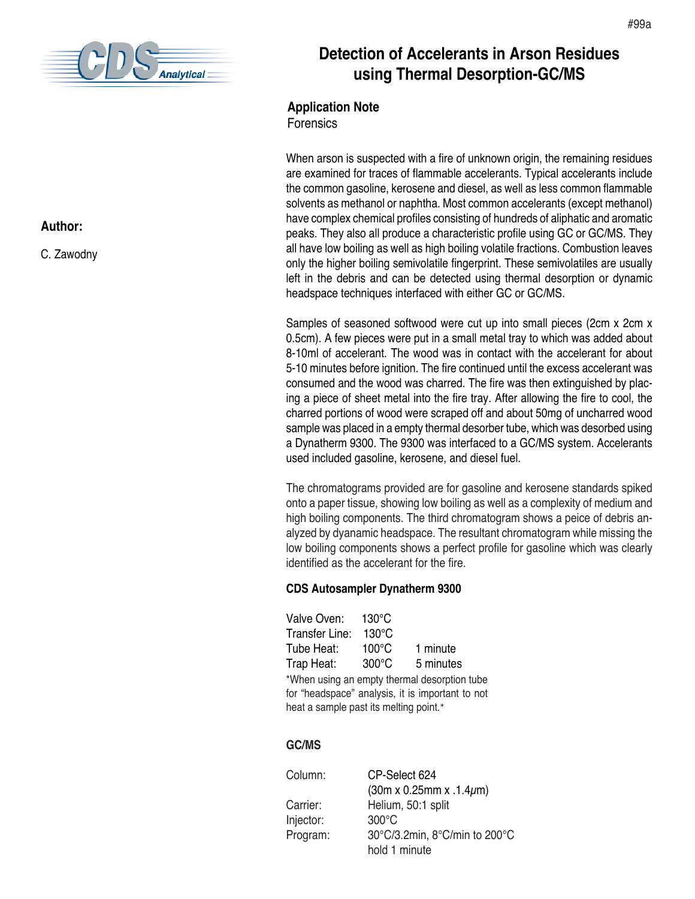

## **Author:**

C. Zawodny

# **Detection of Accelerants in Arson Residues using Thermal Desorption-GC/MS**

## **Application Note**

Forensics

When arson is suspected with a fire of unknown origin, the remaining residues are examined for traces of flammable accelerants. Typical accelerants include the common gasoline, kerosene and diesel, as well as less common flammable solvents as methanol or naphtha. Most common accelerants (except methanol) have complex chemical profiles consisting of hundreds of aliphatic and aromatic peaks. They also all produce a characteristic profile using GC or GC/MS. They all have low boiling as well as high boiling volatile fractions. Combustion leaves only the higher boiling semivolatile fingerprint. These semivolatiles are usually left in the debris and can be detected using thermal desorption or dynamic headspace techniques interfaced with either GC or GC/MS.

Samples of seasoned softwood were cut up into small pieces (2cm x 2cm x 0.5cm). A few pieces were put in a small metal tray to which was added about 8-10ml of accelerant. The wood was in contact with the accelerant for about 5-10 minutes before ignition. The fire continued until the excess accelerant was consumed and the wood was charred. The fire was then extinguished by placing a piece of sheet metal into the fire tray. After allowing the fire to cool, the charred portions of wood were scraped off and about 50mg of uncharred wood sample was placed in a empty thermal desorber tube, which was desorbed using a Dynatherm 9300. The 9300 was interfaced to a GC/MS system. Accelerants used included gasoline, kerosene, and diesel fuel.

The chromatograms provided are for gasoline and kerosene standards spiked onto a paper tissue, showing low boiling as well as a complexity of medium and high boiling components. The third chromatogram shows a peice of debris analyzed by dyanamic headspace. The resultant chromatogram while missing the low boiling components shows a perfect profile for gasoline which was clearly identified as the accelerant for the fire.

#### **CDS Autosampler Dynatherm 9300**

Valve Oven: 130°C Transfer Line: 130°C Tube Heat: 100°C 1 minute Trap Heat: 300°C 5 minutes \*When using an empty thermal desorption tube for "headspace" analysis, it is important to not heat a sample past its melting point.\*

#### **GC/MS**

| Column:   | CP-Select 624                           |
|-----------|-----------------------------------------|
|           | $(30m \times 0.25mm \times .1.4 \mu m)$ |
| Carrier:  | Helium, 50:1 split                      |
| Injector: | $300^{\circ}$ C                         |
| Program:  | 30°C/3.2min, 8°C/min to 200°C           |
|           | hold 1 minute                           |